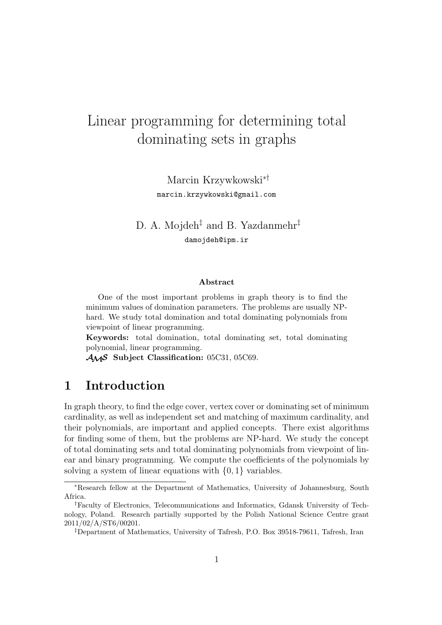# Linear programming for determining total dominating sets in graphs

Marcin Krzywkowski∗† marcin.krzywkowski@gmail.com

## D. A. Mojdeh<sup>‡</sup> and B. Yazdanmehr<sup>‡</sup> damojdeh@ipm.ir

#### **Abstract**

One of the most important problems in graph theory is to find the minimum values of domination parameters. The problems are usually NPhard. We study total domination and total dominating polynomials from viewpoint of linear programming.

**Keywords:** total domination, total dominating set, total dominating polynomial, linear programming.

AMS **Subject Classification:** 05C31, 05C69.

## **1 Introduction**

In graph theory, to find the edge cover, vertex cover or dominating set of minimum cardinality, as well as independent set and matching of maximum cardinality, and their polynomials, are important and applied concepts. There exist algorithms for finding some of them, but the problems are NP-hard. We study the concept of total dominating sets and total dominating polynomials from viewpoint of linear and binary programming. We compute the coefficients of the polynomials by solving a system of linear equations with  $\{0, 1\}$  variables.

<sup>∗</sup>Research fellow at the Department of Mathematics, University of Johannesburg, South Africa.

<sup>†</sup>Faculty of Electronics, Telecommunications and Informatics, Gdansk University of Technology, Poland. Research partially supported by the Polish National Science Centre grant 2011/02/A/ST6/00201.

<sup>‡</sup>Department of Mathematics, University of Tafresh, P.O. Box 39518-79611, Tafresh, Iran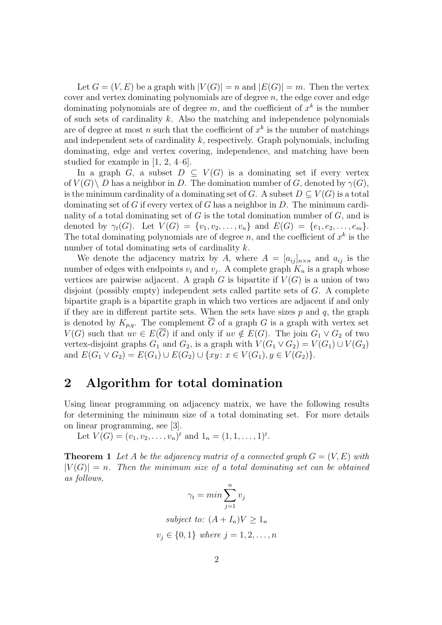Let  $G = (V, E)$  be a graph with  $|V(G)| = n$  and  $|E(G)| = m$ . Then the vertex cover and vertex dominating polynomials are of degree  $n$ , the edge cover and edge dominating polynomials are of degree  $m$ , and the coefficient of  $x^k$  is the number of such sets of cardinality  $k$ . Also the matching and independence polynomials are of degree at most n such that the coefficient of  $x^k$  is the number of matchings and independent sets of cardinality  $k$ , respectively. Graph polynomials, including dominating, edge and vertex covering, independence, and matching have been studied for example in [1, 2, 4–6].

In a graph G, a subset  $D \subseteq V(G)$  is a dominating set if every vertex of  $V(G) \backslash D$  has a neighbor in D. The domination number of G, denoted by  $\gamma(G)$ , is the minimum cardinality of a dominating set of G. A subset  $D \subseteq V(G)$  is a total dominating set of G if every vertex of G has a neighbor in  $D$ . The minimum cardinality of a total dominating set of  $G$  is the total domination number of  $G$ , and is denoted by  $\gamma_t(G)$ . Let  $V(G) = \{v_1, v_2, \ldots, v_n\}$  and  $E(G) = \{e_1, e_2, \ldots, e_m\}$ . The total dominating polynomials are of degree n, and the coefficient of  $x^k$  is the number of total dominating sets of cardinality k.

We denote the adjacency matrix by A, where  $A = [a_{ij}]_{n \times n}$  and  $a_{ij}$  is the number of edges with endpoints  $v_i$  and  $v_j$ . A complete graph  $K_n$  is a graph whose vertices are pairwise adjacent. A graph G is bipartite if  $V(G)$  is a union of two disjoint (possibly empty) independent sets called partite sets of G. A complete bipartite graph is a bipartite graph in which two vertices are adjacent if and only if they are in different partite sets. When the sets have sizes  $p$  and  $q$ , the graph is denoted by  $K_{p,q}$ . The complement  $\overline{G}$  of a graph G is a graph with vertex set  $V(G)$  such that  $uv \in E(\overline{G})$  if and only if  $uv \notin E(G)$ . The join  $G_1 \vee G_2$  of two vertex-disjoint graphs  $G_1$  and  $G_2$ , is a graph with  $V(G_1 \vee G_2) = V(G_1) \cup V(G_2)$ and  $E(G_1 \vee G_2) = E(G_1) \cup E(G_2) \cup \{xy : x \in V(G_1), y \in V(G_2)\}.$ 

### **2 Algorithm for total domination**

Using linear programming on adjacency matrix, we have the following results for determining the minimum size of a total dominating set. For more details on linear programming, see [3].

Let  $V(G) = (v_1, v_2, \dots, v_n)^t$  and  $1_n = (1, 1, \dots, 1)^t$ .

**Theorem 1** Let A be the adjacency matrix of a connected graph  $G = (V, E)$  with  $|V(G)| = n$ . Then the minimum size of a total dominating set can be obtained *as follows,*

$$
\gamma_t = \min \sum_{j=1}^n v_j
$$
  
subject to:  $(A + I_n)V \ge 1_n$   
 $v_j \in \{0, 1\}$  where  $j = 1, 2, ..., n$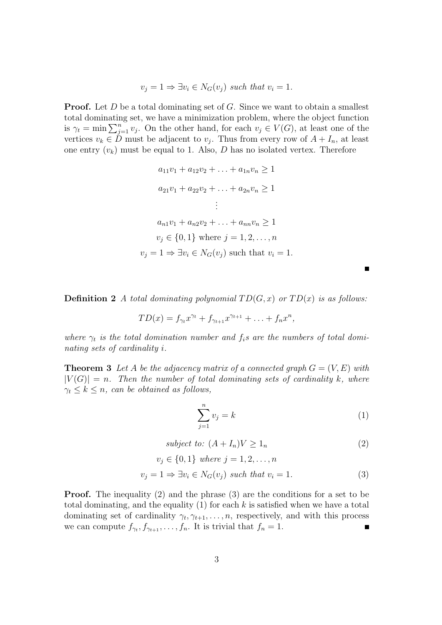$$
v_j = 1 \Rightarrow \exists v_i \in N_G(v_j) \text{ such that } v_i = 1.
$$

**Proof.** Let D be a total dominating set of G. Since we want to obtain a smallest total dominating set, we have a minimization problem, where the object function is  $\gamma_t = \min \sum_{j=1}^n v_j$ . On the other hand, for each  $v_j \in V(G)$ , at least one of the vertices  $v_k \in D$  must be adjacent to  $v_j$ . Thus from every row of  $A + I_n$ , at least one entry  $(v_k)$  must be equal to 1. Also, D has no isolated vertex. Therefore

$$
a_{11}v_1 + a_{12}v_2 + \ldots + a_{1n}v_n \ge 1
$$
  
\n
$$
a_{21}v_1 + a_{22}v_2 + \ldots + a_{2n}v_n \ge 1
$$
  
\n
$$
\vdots
$$
  
\n
$$
a_{n1}v_1 + a_{n2}v_2 + \ldots + a_{nn}v_n \ge 1
$$
  
\n
$$
v_j \in \{0, 1\} \text{ where } j = 1, 2, \ldots, n
$$
  
\n
$$
v_j = 1 \Rightarrow \exists v_i \in N_G(v_j) \text{ such that } v_i = 1.
$$

**Definition 2** *A total dominating polynomial*  $TD(G, x)$  *or*  $TD(x)$  *is as follows:* 

$$
TD(x) = f_{\gamma_t} x^{\gamma_t} + f_{\gamma_{t+1}} x^{\gamma_{t+1}} + \ldots + f_n x^n,
$$

where  $\gamma_t$  *is the total domination number and*  $f_i$ *s are the numbers of total dominating sets of cardinality* i*.*

**Theorem 3** Let A be the adjacency matrix of a connected graph  $G = (V, E)$  with  $|V(G)| = n$ . Then the number of total dominating sets of cardinality k, where  $\gamma_t \leq k \leq n$ , can be obtained as follows,

$$
\sum_{j=1}^{n} v_j = k \tag{1}
$$

*subject to:*  $(A + I_n)V > 1_n$  (2)

$$
v_j \in \{0, 1\} \text{ where } j = 1, 2, \dots, n
$$
  

$$
v_j = 1 \Rightarrow \exists v_i \in N_G(v_j) \text{ such that } v_i = 1.
$$
 (3)

**Proof.** The inequality (2) and the phrase (3) are the conditions for a set to be total dominating, and the equality  $(1)$  for each k is satisfied when we have a total dominating set of cardinality  $\gamma_t, \gamma_{t+1}, \ldots, n$ , respectively, and with this process we can compute  $f_{\gamma_t}, f_{\gamma_{t+1}}, \ldots, f_n$ . It is trivial that  $f_n = 1$ .  $\blacksquare$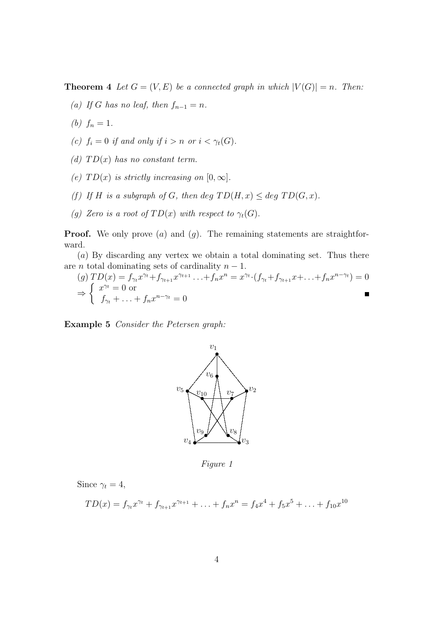**Theorem 4** *Let*  $G = (V, E)$  *be a connected graph in which*  $|V(G)| = n$ *. Then:* 

- *(a)* If G has no leaf, then  $f_{n-1} = n$ .
- (*b*)  $f_n = 1$ .
- *(c)*  $f_i = 0$  *if and only if*  $i > n$  *or*  $i < \gamma_t(G)$ *.*
- *(d)*  $TD(x)$  *has no constant term.*
- *(e)*  $TD(x)$  *is strictly increasing on*  $[0, \infty]$ *.*
- *(f)* If H is a subgraph of G, then deg  $TD(H, x) \leq deg \, TD(G, x)$ .
- *(g) Zero is a root of*  $TD(x)$  *with respect to*  $\gamma_t(G)$ .

**Proof.** We only prove  $(a)$  and  $(g)$ . The remaining statements are straightforward.

(a) By discarding any vertex we obtain a total dominating set. Thus there are *n* total dominating sets of cardinality  $n - 1$ .

(g) 
$$
TD(x) = f_{\gamma_t} x^{\gamma_t} + f_{\gamma_{t+1}} x^{\gamma_{t+1}} \dots + f_n x^n = x^{\gamma_t} \cdot (f_{\gamma_t} + f_{\gamma_{t+1}} x + \dots + f_n x^{n-\gamma_t}) = 0
$$
  
\n $\Rightarrow \begin{cases} x^{\gamma_t} = 0 \text{ or} \\ f_{\gamma_t} + \dots + f_n x^{n-\gamma_t} = 0 \end{cases}$ 

**Example 5** *Consider the Petersen graph:*



*Figure 1*

Since  $\gamma_t = 4$ ,

$$
TD(x) = f_{\gamma_t} x^{\gamma_t} + f_{\gamma_{t+1}} x^{\gamma_{t+1}} + \ldots + f_n x^n = f_4 x^4 + f_5 x^5 + \ldots + f_{10} x^{10}
$$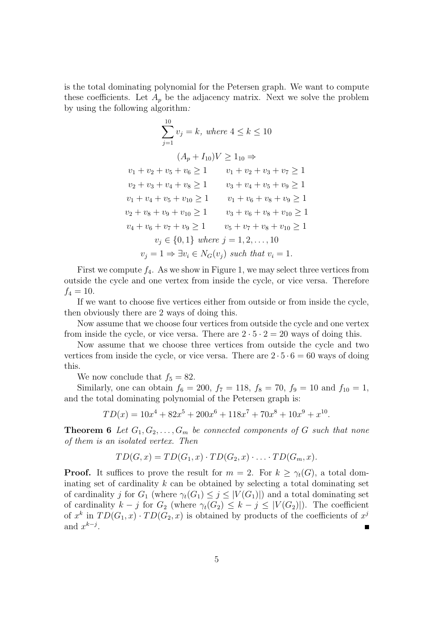is the total dominating polynomial for the Petersen graph. We want to compute these coefficients. Let  $A_p$  be the adjacency matrix. Next we solve the problem by using the following algorithm*:*

$$
\sum_{j=1}^{10} v_j = k, \text{ where } 4 \le k \le 10
$$
  
\n
$$
(A_p + I_{10})V \ge 1_{10} \Rightarrow
$$
  
\n
$$
v_1 + v_2 + v_5 + v_6 \ge 1 \qquad v_1 + v_2 + v_3 + v_7 \ge 1
$$
  
\n
$$
v_2 + v_3 + v_4 + v_8 \ge 1 \qquad v_3 + v_4 + v_5 + v_9 \ge 1
$$
  
\n
$$
v_1 + v_4 + v_5 + v_{10} \ge 1 \qquad v_1 + v_6 + v_8 + v_9 \ge 1
$$
  
\n
$$
v_2 + v_8 + v_9 + v_{10} \ge 1 \qquad v_3 + v_6 + v_8 + v_{10} \ge 1
$$
  
\n
$$
v_4 + v_6 + v_7 + v_9 \ge 1 \qquad v_5 + v_7 + v_8 + v_{10} \ge 1
$$
  
\n
$$
v_j \in \{0, 1\} \text{ where } j = 1, 2, ..., 10
$$
  
\n
$$
v_j = 1 \Rightarrow \exists v_i \in N_G(v_j) \text{ such that } v_i = 1.
$$

First we compute  $f_4$ . As we show in Figure 1, we may select three vertices from outside the cycle and one vertex from inside the cycle, or vice versa. Therefore  $f_4 = 10.$ 

If we want to choose five vertices either from outside or from inside the cycle, then obviously there are 2 ways of doing this.

Now assume that we choose four vertices from outside the cycle and one vertex from inside the cycle, or vice versa. There are  $2 \cdot 5 \cdot 2 = 20$  ways of doing this.

Now assume that we choose three vertices from outside the cycle and two vertices from inside the cycle, or vice versa. There are  $2 \cdot 5 \cdot 6 = 60$  ways of doing this.

We now conclude that  $f_5 = 82$ .

Similarly, one can obtain  $f_6 = 200$ ,  $f_7 = 118$ ,  $f_8 = 70$ ,  $f_9 = 10$  and  $f_{10} = 1$ , and the total dominating polynomial of the Petersen graph is:

$$
TD(x) = 10x^4 + 82x^5 + 200x^6 + 118x^7 + 70x^8 + 10x^9 + x^{10}.
$$

**Theorem 6** Let  $G_1, G_2, \ldots, G_m$  be connected components of G such that none *of them is an isolated vertex. Then*

$$
TD(G, x) = TD(G_1, x) \cdot TD(G_2, x) \cdot \ldots \cdot TD(G_m, x).
$$

**Proof.** It suffices to prove the result for  $m = 2$ . For  $k \geq \gamma_t(G)$ , a total dominating set of cardinality  $k$  can be obtained by selecting a total dominating set of cardinality j for  $G_1$  (where  $\gamma_t(G_1) \leq j \leq |V(G_1)|$ ) and a total dominating set of cardinality  $k - j$  for  $G_2$  (where  $\gamma_t(G_2) \leq k - j \leq |V(G_2)|$ ). The coefficient of  $x^k$  in  $TD(G_1, x) \cdot TD(G_2, x)$  is obtained by products of the coefficients of  $x^j$ and  $x^{k-j}$ .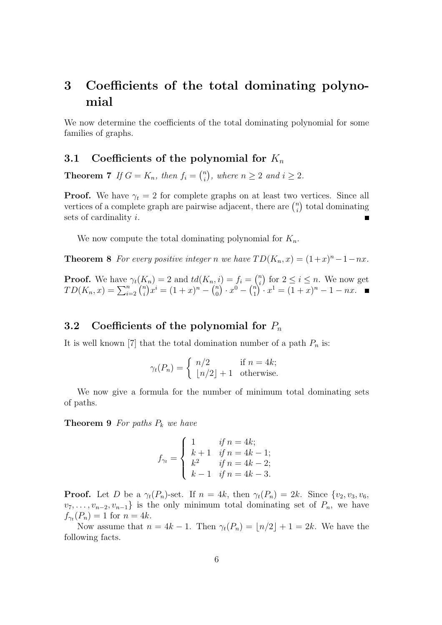## **3 Coefficients of the total dominating polynomial**

We now determine the coefficients of the total dominating polynomial for some families of graphs.

#### **3.1 Coefficients of the polynomial for**  $K_n$

**Theorem 7** *If*  $G = K_n$ *, then*  $f_i = \binom{n}{i}$  $\binom{n}{i}$ , where  $n \geq 2$  and  $i \geq 2$ .

**Proof.** We have  $\gamma_t = 2$  for complete graphs on at least two vertices. Since all vertices of a complete graph are pairwise adjacent, there are  $\binom{n}{i}$  $\binom{n}{i}$  total dominating sets of cardinality i.

We now compute the total dominating polynomial for  $K_n$ .

**Theorem 8** *For every positive integer n we have*  $TD(K_n, x) = (1+x)^n - 1 - nx$ *.* 

**Proof.** We have  $\gamma_t(K_n) = 2$  and  $td(K_n, i) = f_i = \binom{n}{i}$  $\binom{n}{i}$  for  $2 \leq i \leq n$ . We now get  $TD(K_n, x) = \sum_{i=2}^n {n \choose i}$  $\binom{n}{i} x^i = (1+x)^n - \binom{n}{0}$  $\binom{n}{0} \cdot x^0 - \binom{n}{1}$  $\binom{n}{1} \cdot x^1 = (1+x)^n - 1 - nx.$ 

#### **3.2** Coefficients of the polynomial for  $P_n$

It is well known [7] that the total domination number of a path  $P_n$  is:

$$
\gamma_t(P_n) = \begin{cases} n/2 & \text{if } n = 4k; \\ \lfloor n/2 \rfloor + 1 & \text{otherwise.} \end{cases}
$$

We now give a formula for the number of minimum total dominating sets of paths.

**Theorem 9** *For paths* P<sup>k</sup> *we have*

$$
f_{\gamma_t} = \begin{cases} 1 & \text{if } n = 4k; \\ k+1 & \text{if } n = 4k-1; \\ k^2 & \text{if } n = 4k-2; \\ k-1 & \text{if } n = 4k-3. \end{cases}
$$

**Proof.** Let D be a  $\gamma_t(P_n)$ -set. If  $n = 4k$ , then  $\gamma_t(P_n) = 2k$ . Since  $\{v_2, v_3, v_6,$  $v_7, \ldots, v_{n-2}, v_{n-1}$  is the only minimum total dominating set of  $P_n$ , we have  $f_{\gamma_t}(P_n) = 1$  for  $n = 4k$ .

Now assume that  $n = 4k - 1$ . Then  $\gamma_t(P_n) = \lfloor n/2 \rfloor + 1 = 2k$ . We have the following facts.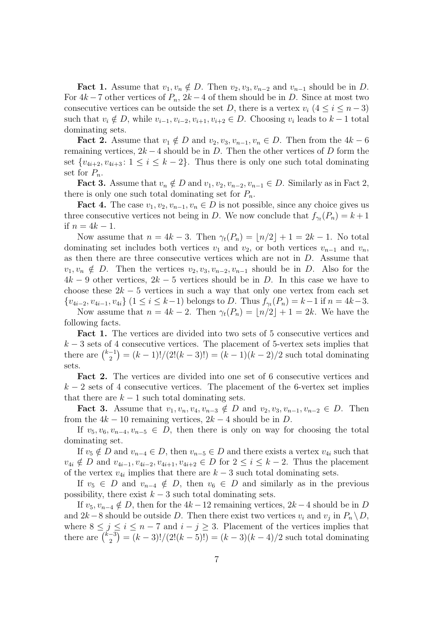**Fact 1.** Assume that  $v_1, v_n \notin D$ . Then  $v_2, v_3, v_{n-2}$  and  $v_{n-1}$  should be in D. For  $4k - 7$  other vertices of  $P_n$ ,  $2k - 4$  of them should be in D. Since at most two consecutive vertices can be outside the set D, there is a vertex  $v_i$   $(4 \leq i \leq n-3)$ such that  $v_i \notin D$ , while  $v_{i-1}, v_{i-2}, v_{i+1}, v_{i+2} \in D$ . Choosing  $v_i$  leads to  $k-1$  total dominating sets.

**Fact 2.** Assume that  $v_1 \notin D$  and  $v_2, v_3, v_{n-1}, v_n \in D$ . Then from the  $4k - 6$ remaining vertices,  $2k - 4$  should be in D. Then the other vertices of D form the set  $\{v_{4i+2}, v_{4i+3} : 1 \le i \le k-2\}$ . Thus there is only one such total dominating set for  $P_n$ .

**Fact 3.** Assume that  $v_n \notin D$  and  $v_1, v_2, v_{n-2}, v_{n-1} \in D$ . Similarly as in Fact 2, there is only one such total dominating set for  $P_n$ .

**Fact 4.** The case  $v_1, v_2, v_{n-1}, v_n \in D$  is not possible, since any choice gives us three consecutive vertices not being in D. We now conclude that  $f_{\gamma_t}(P_n) = k+1$ if  $n = 4k - 1$ .

Now assume that  $n = 4k - 3$ . Then  $\gamma_t(P_n) = |n/2| + 1 = 2k - 1$ . No total dominating set includes both vertices  $v_1$  and  $v_2$ , or both vertices  $v_{n-1}$  and  $v_n$ , as then there are three consecutive vertices which are not in D. Assume that  $v_1, v_n \notin D$ . Then the vertices  $v_2, v_3, v_{n-2}, v_{n-1}$  should be in D. Also for the  $4k-9$  other vertices,  $2k-5$  vertices should be in D. In this case we have to choose these  $2k - 5$  vertices in such a way that only one vertex from each set  ${v_{4i-2}, v_{4i-1}, v_{4i}} (1 \leq i \leq k-1)$  belongs to D. Thus  $f_{\gamma_t}(P_n) = k-1$  if  $n = 4k-3$ . Now assume that  $n = 4k - 2$ . Then  $\gamma_t(P_n) = |n/2| + 1 = 2k$ . We have the

following facts.

**Fact 1.** The vertices are divided into two sets of 5 consecutive vertices and  $k-3$  sets of 4 consecutive vertices. The placement of 5-vertex sets implies that there are  $\binom{k-1}{2}$  $\binom{-1}{2} = (k-1)!/(2!(k-3)!) = (k-1)(k-2)/2$  such total dominating sets.

**Fact 2.** The vertices are divided into one set of 6 consecutive vertices and  $k-2$  sets of 4 consecutive vertices. The placement of the 6-vertex set implies that there are  $k-1$  such total dominating sets.

**Fact 3.** Assume that  $v_1, v_n, v_4, v_{n-3} \notin D$  and  $v_2, v_3, v_{n-1}, v_{n-2} \in D$ . Then from the  $4k - 10$  remaining vertices,  $2k - 4$  should be in D.

If  $v_5, v_6, v_{n-4}, v_{n-5} \in D$ , then there is only on way for choosing the total dominating set.

If  $v_5 \notin D$  and  $v_{n-4} \in D$ , then  $v_{n-5} \in D$  and there exists a vertex  $v_{4i}$  such that  $v_{4i} \notin D$  and  $v_{4i-1}, v_{4i-2}, v_{4i+1}, v_{4i+2} \in D$  for  $2 \leq i \leq k-2$ . Thus the placement of the vertex  $v_{4i}$  implies that there are  $k-3$  such total dominating sets.

If  $v_5 \in D$  and  $v_{n-4} \notin D$ , then  $v_6 \in D$  and similarly as in the previous possibility, there exist  $k - 3$  such total dominating sets.

If  $v_5$ ,  $v_{n-4} \notin D$ , then for the  $4k - 12$  remaining vertices,  $2k - 4$  should be in D and 2k – 8 should be outside D. Then there exist two vertices  $v_i$  and  $v_j$  in  $P_n \setminus D$ , where  $8 \leq j \leq i \leq n-7$  and  $i-j \geq 3$ . Placement of the vertices implies that there are  $\left(\frac{k-3}{2}\right)$  $\binom{-3}{2} = (k-3)!/(2!(k-5)!) = (k-3)(k-4)/2$  such total dominating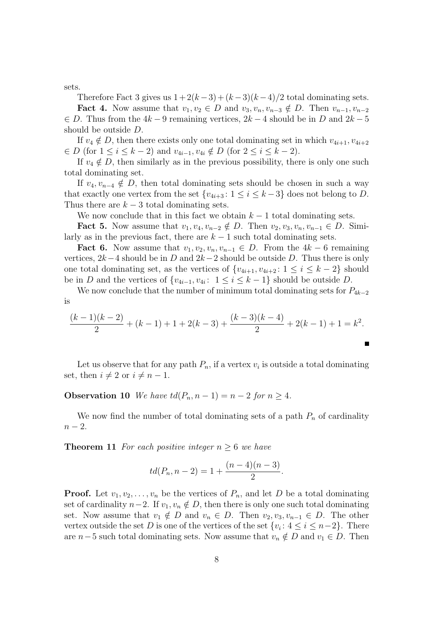sets.

Therefore Fact 3 gives us  $1+2(k-3)+(k-3)(k-4)/2$  total dominating sets.

**Fact 4.** Now assume that  $v_1, v_2 \in D$  and  $v_3, v_n, v_{n-3} \notin D$ . Then  $v_{n-1}, v_{n-2}$  $\in D$ . Thus from the 4k – 9 remaining vertices, 2k – 4 should be in D and 2k – 5 should be outside D.

If  $v_4 \notin D$ , then there exists only one total dominating set in which  $v_{4i+1}, v_{4i+2}$  $\in D$  (for  $1 \leq i \leq k-2$ ) and  $v_{4i-1}, v_{4i} \notin D$  (for  $2 \leq i \leq k-2$ ).

If  $v_4 \notin D$ , then similarly as in the previous possibility, there is only one such total dominating set.

If  $v_4, v_{n-4} \notin D$ , then total dominating sets should be chosen in such a way that exactly one vertex from the set  $\{v_{4i+3}: 1 \le i \le k-3\}$  does not belong to D. Thus there are  $k-3$  total dominating sets.

We now conclude that in this fact we obtain  $k-1$  total dominating sets.

**Fact 5.** Now assume that  $v_1, v_4, v_{n-2} \notin D$ . Then  $v_2, v_3, v_n, v_{n-1} \in D$ . Similarly as in the previous fact, there are  $k-1$  such total dominating sets.

**Fact 6.** Now assume that  $v_1, v_2, v_n, v_{n-1} \in D$ . From the  $4k - 6$  remaining vertices,  $2k-4$  should be in D and  $2k-2$  should be outside D. Thus there is only one total dominating set, as the vertices of  $\{v_{4i+1}, v_{4i+2} : 1 \leq i \leq k-2\}$  should be in D and the vertices of  $\{v_{4i-1}, v_{4i}: 1 \le i \le k-1\}$  should be outside D.

We now conclude that the number of minimum total dominating sets for  $P_{4k-2}$ is

$$
\frac{(k-1)(k-2)}{2} + (k-1) + 1 + 2(k-3) + \frac{(k-3)(k-4)}{2} + 2(k-1) + 1 = k^2.
$$

Let us observe that for any path  $P_n$ , if a vertex  $v_i$  is outside a total dominating set, then  $i \neq 2$  or  $i \neq n - 1$ .

**Observation 10** *We have*  $td(P_n, n-1) = n-2$  *for*  $n \geq 4$ *.* 

We now find the number of total dominating sets of a path  $P_n$  of cardinality  $n-2$ .

**Theorem 11** *For each positive integer*  $n \geq 6$  *we have* 

$$
td(P_n, n-2) = 1 + \frac{(n-4)(n-3)}{2}.
$$

**Proof.** Let  $v_1, v_2, \ldots, v_n$  be the vertices of  $P_n$ , and let D be a total dominating set of cardinality  $n-2$ . If  $v_1, v_n \notin D$ , then there is only one such total dominating set. Now assume that  $v_1 \notin D$  and  $v_n \in D$ . Then  $v_2, v_3, v_{n-1} \in D$ . The other vertex outside the set D is one of the vertices of the set  $\{v_i: 4 \le i \le n-2\}$ . There are  $n-5$  such total dominating sets. Now assume that  $v_n \notin D$  and  $v_1 \in D$ . Then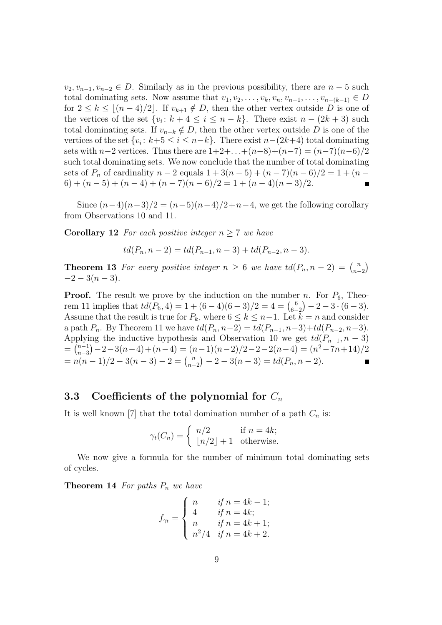$v_2, v_{n-1}, v_{n-2} \in D$ . Similarly as in the previous possibility, there are  $n-5$  such total dominating sets. Now assume that  $v_1, v_2, \ldots, v_k, v_n, v_{n-1}, \ldots, v_{n-(k-1)} \in D$ for  $2 \leq k \leq \lfloor (n-4)/2 \rfloor$ . If  $v_{k+1} \notin D$ , then the other vertex outside D is one of the vertices of the set  $\{v_i: k+4 \leq i \leq n-k\}$ . There exist  $n-(2k+3)$  such total dominating sets. If  $v_{n-k} \notin D$ , then the other vertex outside D is one of the vertices of the set  $\{v_i: k+5 \le i \le n-k\}$ . There exist  $n-(2k+4)$  total dominating sets with  $n-2$  vertices. Thus there are  $1+2+\ldots+(n-8)+(n-7)=(n-7)(n-6)/2$ such total dominating sets. We now conclude that the number of total dominating sets of  $P_n$  of cardinality  $n-2$  equals  $1+3(n-5)+(n-7)(n-6)/2=1+(n-7)(n-6)/2$  $6) + (n-5) + (n-4) + (n-7)(n-6)/2 = 1 + (n-4)(n-3)/2.$  $\blacksquare$ 

Since  $(n-4)(n-3)/2 = (n-5)(n-4)/2 + n-4$ , we get the following corollary from Observations 10 and 11.

**Corollary 12** *For each positive integer*  $n \geq 7$  *we have* 

$$
td(P_n, n-2) = td(P_{n-1}, n-3) + td(P_{n-2}, n-3).
$$

**Theorem 13** *For every positive integer*  $n \geq 6$  *we have*  $td(P_n, n-2) = \binom{n}{n-2}$  $-2-3(n-3)$ .

**Proof.** The result we prove by the induction on the number n. For  $P_6$ , Theorem 11 implies that  $td(P_6, 4) = 1 + (6 - 4)(6 - 3)/2 = 4 = {6 \choose 6-2} - 2 - 3 \cdot (6-3)$ . Assume that the result is true for  $P_k$ , where  $6 \leq k \leq n-1$ . Let  $k = n$  and consider a path  $P_n$ . By Theorem 11 we have  $td(P_n, n-2) = td(P_{n-1}, n-3)+td(P_{n-2}, n-3)$ . Applying the inductive hypothesis and Observation 10 we get  $td(P_{n-1}, n-3)$  $=\int_{n-3}^{n-1}$  ${n-1 \choose n-3} - 2 - 3(n-4) + (n-4) = (n-1)(n-2)/2 - 2 - 2(n-4) = (n^2 - 7n + 14)/2$  $= n(n-1)/2 - 3(n-3) - 2 = {n \choose n-2} - 2 - 3(n-3) = td(P_n, n-2).$ 

#### **3.3** Coefficients of the polynomial for  $C_n$

It is well known [7] that the total domination number of a path  $C_n$  is:

$$
\gamma_t(C_n) = \begin{cases} n/2 & \text{if } n = 4k; \\ \lfloor n/2 \rfloor + 1 & \text{otherwise.} \end{cases}
$$

We now give a formula for the number of minimum total dominating sets of cycles.

**Theorem 14** *For paths*  $P_n$  *we have* 

$$
f_{\gamma_t} = \begin{cases} n & \text{if } n = 4k - 1; \\ 4 & \text{if } n = 4k; \\ n & \text{if } n = 4k + 1; \\ n^2/4 & \text{if } n = 4k + 2. \end{cases}
$$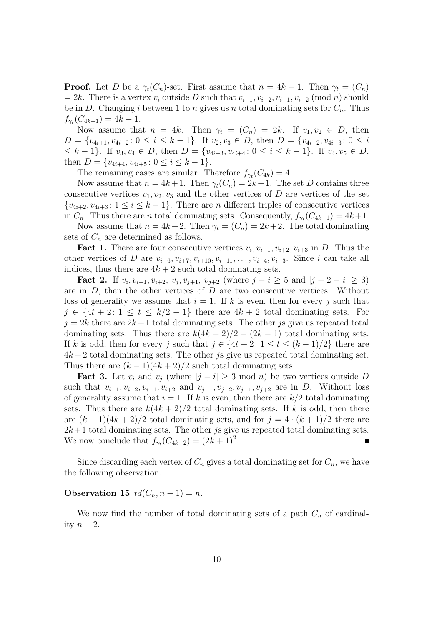**Proof.** Let D be a  $\gamma_t(C_n)$ -set. First assume that  $n = 4k - 1$ . Then  $\gamma_t = (C_n)$  $= 2k$ . There is a vertex  $v_i$  outside D such that  $v_{i+1}, v_{i+2}, v_{i-1}, v_{i-2} \pmod{n}$  should be in D. Changing i between 1 to n gives us n total dominating sets for  $C_n$ . Thus  $f_{\gamma_t}(C_{4k-1}) = 4k - 1.$ 

Now assume that  $n = 4k$ . Then  $\gamma_t = (C_n) = 2k$ . If  $v_1, v_2 \in D$ , then  $D = \{v_{4i+1}, v_{4i+2} : 0 \leq i \leq k-1\}$ . If  $v_2, v_3 \in D$ , then  $D = \{v_{4i+2}, v_{4i+3} : 0 \leq i$  $\leq k-1$ . If  $v_3, v_4 \in D$ , then  $D = \{v_{4i+3}, v_{4i+4} : 0 \leq i \leq k-1\}$ . If  $v_4, v_5 \in D$ , then  $D = \{v_{4i+4}, v_{4i+5} : 0 \leq i \leq k-1\}.$ 

The remaining cases are similar. Therefore  $f_{\gamma_t}(C_{4k}) = 4$ .

Now assume that  $n = 4k+1$ . Then  $\gamma_t(C_n) = 2k+1$ . The set D contains three consecutive vertices  $v_1, v_2, v_3$  and the other vertices of D are vertices of the set  $\{v_{4i+2}, v_{4i+3} : 1 \leq i \leq k-1\}$ . There are *n* different triples of consecutive vertices in  $C_n$ . Thus there are *n* total dominating sets. Consequently,  $f_{\gamma_t}(C_{4k+1}) = 4k+1$ .

Now assume that  $n = 4k+2$ . Then  $\gamma_t = (C_n) = 2k+2$ . The total dominating sets of  $C_n$  are determined as follows.

**Fact 1.** There are four consecutive vertices  $v_i$ ,  $v_{i+1}$ ,  $v_{i+2}$ ,  $v_{i+3}$  in D. Thus the other vertices of D are  $v_{i+6}, v_{i+7}, v_{i+10}, v_{i+11}, \ldots, v_{i-4}, v_{i-3}$ . Since i can take all indices, thus there are  $4k + 2$  such total dominating sets.

**Fact 2.** If  $v_i, v_{i+1}, v_{i+2}, v_j, v_{j+1}, v_{j+2}$  (where  $j - i \geq 5$  and  $|j + 2 - i| \geq 3$ ) are in  $D$ , then the other vertices of  $D$  are two consecutive vertices. Without loss of generality we assume that  $i = 1$ . If k is even, then for every j such that  $j \in \{4t+2: 1 \le t \le k/2-1\}$  there are  $4k+2$  total dominating sets. For  $j = 2k$  there are  $2k+1$  total dominating sets. The other js give us repeated total dominating sets. Thus there are  $k(4k+2)/2 - (2k-1)$  total dominating sets. If k is odd, then for every j such that  $j \in \{4t + 2: 1 \le t \le (k-1)/2\}$  there are  $4k + 2$  total dominating sets. The other *js* give us repeated total dominating set. Thus there are  $(k-1)(4k+2)/2$  such total dominating sets.

**Fact 3.** Let  $v_i$  and  $v_j$  (where  $|j - i| \geq 3 \text{ mod } n$ ) be two vertices outside D such that  $v_{i-1}, v_{i-2}, v_{i+1}, v_{i+2}$  and  $v_{i-1}, v_{i-2}, v_{i+1}, v_{i+2}$  are in D. Without loss of generality assume that  $i = 1$ . If k is even, then there are  $k/2$  total dominating sets. Thus there are  $k(4k+2)/2$  total dominating sets. If k is odd, then there are  $(k-1)(4k+2)/2$  total dominating sets, and for  $j = 4 \cdot (k+1)/2$  there are  $2k+1$  total dominating sets. The other *js* give us repeated total dominating sets. We now conclude that  $f_{\gamma_t}(C_{4k+2}) = (2k+1)^2$ .

Since discarding each vertex of  $C_n$  gives a total dominating set for  $C_n$ , we have the following observation.

#### **Observation 15**  $td(C_n, n-1) = n$ .

We now find the number of total dominating sets of a path  $C_n$  of cardinality  $n-2$ .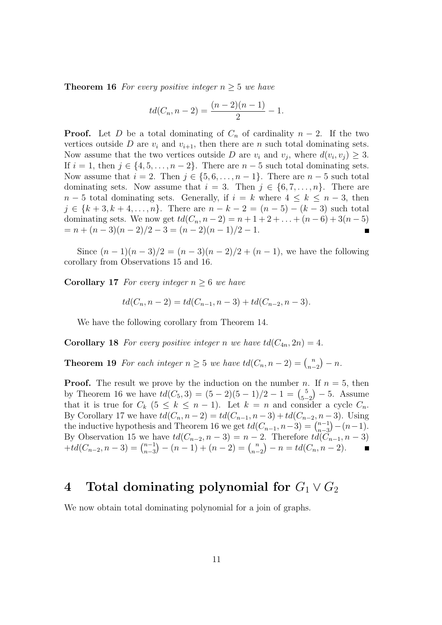**Theorem 16** *For every positive integer*  $n \geq 5$  *we have* 

$$
td(C_n, n-2) = \frac{(n-2)(n-1)}{2} - 1.
$$

**Proof.** Let D be a total dominating of  $C_n$  of cardinality  $n-2$ . If the two vertices outside D are  $v_i$  and  $v_{i+1}$ , then there are n such total dominating sets. Now assume that the two vertices outside D are  $v_i$  and  $v_j$ , where  $d(v_i, v_j) \geq 3$ . If  $i = 1$ , then  $j \in \{4, 5, \ldots, n-2\}$ . There are  $n-5$  such total dominating sets. Now assume that  $i = 2$ . Then  $j \in \{5, 6, \ldots, n-1\}$ . There are  $n-5$  such total dominating sets. Now assume that  $i = 3$ . Then  $j \in \{6, 7, \ldots, n\}$ . There are  $n-5$  total dominating sets. Generally, if  $i = k$  where  $4 \leq k \leq n-3$ , then  $j \in \{k+3, k+4, \ldots, n\}$ . There are  $n - k - 2 = (n - 5) - (k - 3)$  such total dominating sets. We now get  $td(C_n, n-2) = n+1+2+\ldots+(n-6)+3(n-5)$  $= n + (n-3)(n-2)/2 - 3 = (n-2)(n-1)/2 - 1.$  $\blacksquare$ 

Since  $(n-1)(n-3)/2 = (n-3)(n-2)/2 + (n-1)$ , we have the following corollary from Observations 15 and 16.

**Corollary 17** *For every integer*  $n \geq 6$  *we have* 

$$
td(C_n, n-2) = td(C_{n-1}, n-3) + td(C_{n-2}, n-3).
$$

We have the following corollary from Theorem 14.

**Corollary 18** For every positive integer n we have  $td(C_{4n}, 2n) = 4$ .

**Theorem 19** For each integer  $n \geq 5$  we have  $td(C_n, n-2) = {n \choose n-2} - n$ .

**Proof.** The result we prove by the induction on the number n. If  $n = 5$ , then by Theorem 16 we have  $td(C_5,3) = (5-2)(5-1)/2 - 1 = {5 \choose 5-2} - 5$ . Assume that it is true for  $C_k$  ( $5 \le k \le n-1$ ). Let  $k = n$  and consider a cycle  $C_n$ . By Corollary 17 we have  $td(C_n, n-2) = td(C_{n-1}, n-3) + td(C_{n-2}, n-3)$ . Using the inductive hypothesis and Theorem 16 we get  $td(C_{n-1}, n-3) = {n-1 \choose n-3}$  $\binom{n-1}{n-3} - (n-1).$ By Observation 15 we have  $td(C_{n-2}, n-3) = n-2$ . Therefore  $td(C_{n-1}, n-3)$  $+t d(C_{n-2}, n-3) = {n-1 \choose n-3}$  ${n-1 \choose n-3} - (n-1) + (n-2) = {n \choose n-2} - n = td(C_n, n-2).$ 

## **4** Total dominating polynomial for  $G_1 \vee G_2$

We now obtain total dominating polynomial for a join of graphs.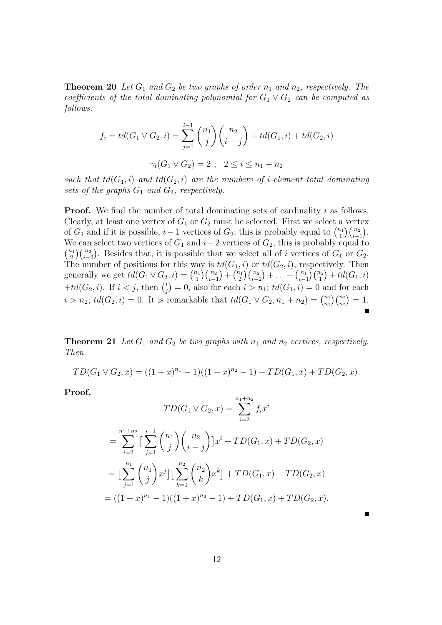**Theorem 20** *Let*  $G_1$  *and*  $G_2$  *be two graphs of order*  $n_1$  *and*  $n_2$ *, respectively. The coefficients of the total dominating polynomial for*  $G_1 \vee G_2$  *can be computed as follows:*

$$
f_i = td(G_1 \vee G_2, i) = \sum_{j=1}^{i-1} {n_1 \choose j} {n_2 \choose i-j} + td(G_1, i) + td(G_2, i)
$$

$$
\gamma_t(G_1 \vee G_2) = 2 \ ; \quad 2 \leq i \leq n_1 + n_2
$$

*such that*  $td(G_1, i)$  *and*  $td(G_2, i)$  *are the numbers of i-element total dominating sets of the graphs*  $G_1$  *and*  $G_2$ *, respectively.* 

**Proof.** We find the number of total dominating sets of cardinality i as follows. Clearly, at least one vertex of  $G_1$  or  $G_2$  must be selected. First we select a vertex of  $G_1$  and if it is possible,  $i-1$  vertices of  $G_2$ ; this is probably equal to  $\binom{n_1}{1}$  $\binom{n_1}{1}\binom{n_2}{i-1}.$ We can select two vertices of  $G_1$  and  $i-2$  vertices of  $G_2$ , this is probably equal to  $\binom{n_1}{2}$  $\binom{n_2}{i-2}$ . Besides that, it is possible that we select all of i vertices of  $G_1$  or  $G_2$ . The number of positions for this way is  $td(G_1, i)$  or  $td(G_2, i)$ , respectively. Then generally we get  $td(G_1 \vee G_2, i) = \binom{n_1}{1}$  ${n_1 \choose 1}{n_2 \choose i-1} + {n_1 \choose 2}$  $\binom{n_1}{2}\binom{n_2}{i-2}+\ldots+\binom{n_1}{i-1}\binom{n_2}{1}+td(G_1,i)$ + $td(G_2, i)$ . If  $i < j$ , then  $\binom{i}{i}$  $j<sup>i</sup>$ <sub>j</sub> $= 0$ , also for each  $i > n_1$ ;  $td(G_1, i) = 0$  and for each  $i > n_2$ ;  $td(G_2, i) = 0$ . It is remarkable that  $td(G_1 \vee G_2, n_1 + n_2) = \binom{n_1}{n_1}$  ${n_1 \choose n_1}{n_2 \choose n_2} = 1.$ 

**Theorem 21** Let  $G_1$  and  $G_2$  be two graphs with  $n_1$  and  $n_2$  vertices, respectively. *Then*

$$
TD(G_1 \vee G_2, x) = ((1+x)^{n_1} - 1)((1+x)^{n_2} - 1) + TD(G_1, x) + TD(G_2, x).
$$

**Proof.**

$$
TD(G_1 \vee G_2, x) = \sum_{i=2}^{n_1 + n_2} f_i x^i
$$
  
= 
$$
\sum_{i=2}^{n_1 + n_2} \Big[ \sum_{j=1}^{i-1} {n_1 \choose j} {n_2 \choose i-j} \Big] x^i + TD(G_1, x) + TD(G_2, x)
$$
  
= 
$$
\Big[ \sum_{j=1}^{n_1} {n_1 \choose j} x^j \Big] \Big[ \sum_{k=1}^{n_2} {n_2 \choose k} x^k \Big] + TD(G_1, x) + TD(G_2, x)
$$
  
= 
$$
((1 + x)^{n_1} - 1)((1 + x)^{n_2} - 1) + TD(G_1, x) + TD(G_2, x).
$$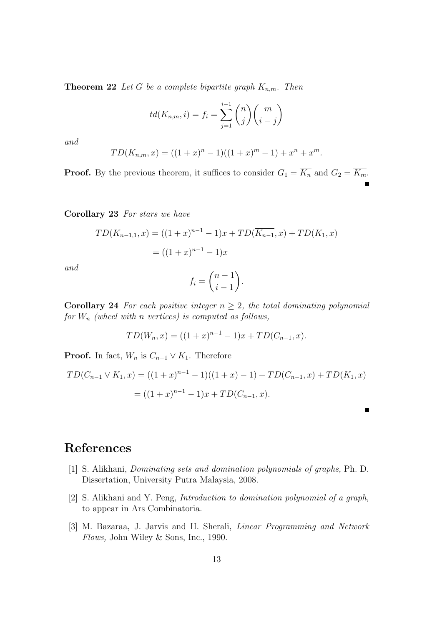**Theorem 22** *Let* G *be a complete bipartite graph*  $K_{n,m}$ *. Then* 

$$
td(K_{n,m}, i) = f_i = \sum_{j=1}^{i-1} {n \choose j} {m \choose i-j}
$$

*and*

$$
TD(K_{n,m}, x) = ((1+x)^{n} - 1)((1+x)^{m} - 1) + x^{n} + x^{m}.
$$

**Proof.** By the previous theorem, it suffices to consider  $G_1 = \overline{K_n}$  and  $G_2 = \overline{K_m}$ .

**Corollary 23** *For stars we have*

$$
TD(K_{n-1,1}, x) = ((1+x)^{n-1} - 1)x + TD(\overline{K_{n-1}}, x) + TD(K_1, x)
$$

$$
= ((1+x)^{n-1} - 1)x
$$

*and*

$$
f_i = \binom{n-1}{i-1}.
$$

**Corollary 24** *For each positive integer*  $n \geq 2$ *, the total dominating polynomial for* W<sup>n</sup> *(wheel with* n *vertices) is computed as follows,*

$$
TD(W_n, x) = ((1+x)^{n-1} - 1)x + TD(C_{n-1}, x).
$$

**Proof.** In fact,  $W_n$  is  $C_{n-1} \vee K_1$ . Therefore

$$
TD(C_{n-1} \vee K_1, x) = ((1+x)^{n-1} - 1)((1+x) - 1) + TD(C_{n-1}, x) + TD(K_1, x)
$$
  
= ((1+x)^{n-1} - 1)x + TD(C\_{n-1}, x).

П

## **References**

- [1] S. Alikhani, *Dominating sets and domination polynomials of graphs,* Ph. D. Dissertation, University Putra Malaysia, 2008.
- [2] S. Alikhani and Y. Peng, *Introduction to domination polynomial of a graph,* to appear in Ars Combinatoria.
- [3] M. Bazaraa, J. Jarvis and H. Sherali, *Linear Programming and Network Flows,* John Wiley & Sons, Inc., 1990.